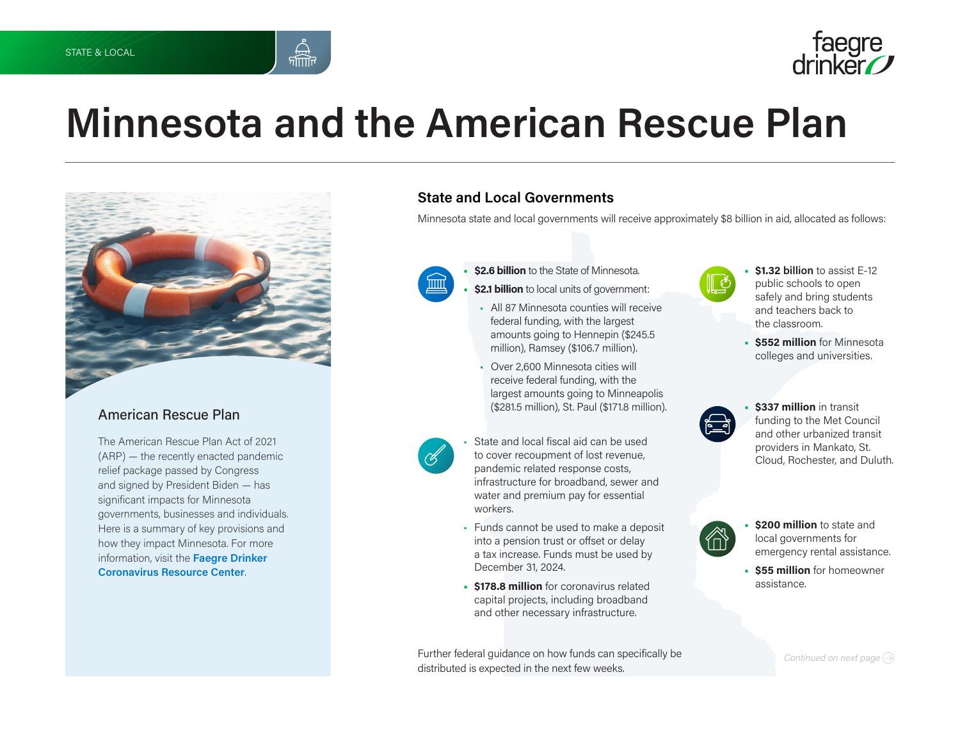



# **Minnesota and the American Rescue Plan**



### American Rescue Plan

The American Rescue Plan Act of 2021 (ARP) — the recently enacted pandemic relief package passed by Congress and signed by President Biden — has significant impacts for Minnesota governments, businesses and individuals. Here is a summary of key provisions and how they impact Minnesota. For more information, visit the **[Faegre Drinker](https://www.faegredrinker.com/en/insights/topics/coronavirus-covid-19-resource-center#tab-Overview)  [Coronavirus Resource Center](https://www.faegredrinker.com/en/insights/topics/coronavirus-covid-19-resource-center#tab-Overview)**.

### **State and Local Governments**

Minnesota state and local governments will receive approximately \$8 billion in aid, allocated as follows:



- **• \$2.6 billion** to the State of Minnesota.
- **• \$2.1 billion** to local units of government:
- All 87 Minnesota counties will receive federal funding, with the largest amounts going to Hennepin (\$245.5 million), Ramsey (\$106.7 million).
- Over 2,600 Minnesota cities will receive federal funding, with the largest amounts going to Minneapolis (\$281.5 million), St. Paul (\$171.8 million).
- State and local fiscal aid can be used to cover recoupment of lost revenue, pandemic related response costs, infrastructure for broadband, sewer and water and premium pay for essential workers.
- Funds cannot be used to make a deposit into a pension trust or offset or delay a tax increase. Funds must be used by December 31, 2024.
- **• \$178.8 million** for coronavirus related capital projects, including broadband and other necessary infrastructure.

Further federal guidance on how funds can specifically be distributed is expected in the next few weeks.



- **• \$1.32 billion** to assist E-12 public schools to open safely and bring students and teachers back to the classroom.
- **• \$552 million** for Minnesota colleges and universities.



**• \$337 million** in transit funding to the Met Council and other urbanized transit providers in Mankato, St. Cloud, Rochester, and Duluth.

**• \$200 million** to state and

- local governments for emergency rental assistance. **• \$55 million** for homeowner
- assistance.

*Continued on next page*